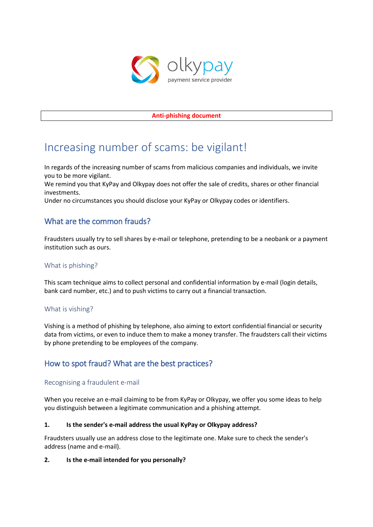

#### **Anti-phishing document**

# Increasing number of scams: be vigilant!

In regards of the increasing number of scams from malicious companies and individuals, we invite you to be more vigilant.

We remind you that KyPay and Olkypay does not offer the sale of credits, shares or other financial investments.

Under no circumstances you should disclose your KyPay or Olkypay codes or identifiers.

# What are the common frauds?

Fraudsters usually try to sell shares by e-mail or telephone, pretending to be a neobank or a payment institution such as ours.

#### What is phishing?

This scam technique aims to collect personal and confidential information by e-mail (login details, bank card number, etc.) and to push victims to carry out a financial transaction.

#### What is vishing?

Vishing is a method of phishing by telephone, also aiming to extort confidential financial or security data from victims, or even to induce them to make a money transfer. The fraudsters call their victims by phone pretending to be employees of the company.

# How to spot fraud? What are the best practices?

#### Recognising a fraudulent e-mail

When you receive an e-mail claiming to be from KyPay or Olkypay, we offer you some ideas to help you distinguish between a legitimate communication and a phishing attempt.

#### **1. Is the sender's e-mail address the usual KyPay or Olkypay address?**

Fraudsters usually use an address close to the legitimate one. Make sure to check the sender's address (name and e-mail).

#### **2. Is the e-mail intended for you personally?**